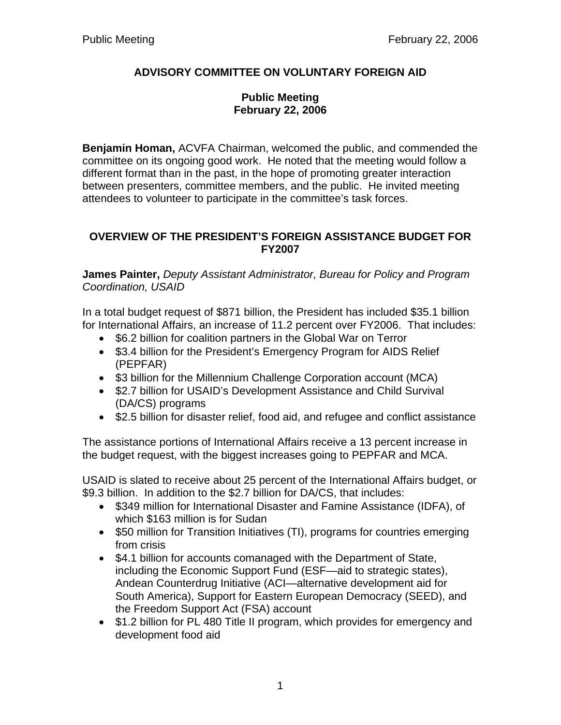# **ADVISORY COMMITTEE ON VOLUNTARY FOREIGN AID**

### **Public Meeting February 22, 2006**

**Benjamin Homan,** ACVFA Chairman, welcomed the public, and commended the committee on its ongoing good work. He noted that the meeting would follow a different format than in the past, in the hope of promoting greater interaction between presenters, committee members, and the public. He invited meeting attendees to volunteer to participate in the committee's task forces.

### **OVERVIEW OF THE PRESIDENT'S FOREIGN ASSISTANCE BUDGET FOR FY2007**

**James Painter,** *Deputy Assistant Administrator, Bureau for Policy and Program Coordination, USAID*

In a total budget request of \$871 billion, the President has included \$35.1 billion for International Affairs, an increase of 11.2 percent over FY2006. That includes:

- \$6.2 billion for coalition partners in the Global War on Terror
- \$3.4 billion for the President's Emergency Program for AIDS Relief (PEPFAR)
- \$3 billion for the Millennium Challenge Corporation account (MCA)
- \$2.7 billion for USAID's Development Assistance and Child Survival (DA/CS) programs
- \$2.5 billion for disaster relief, food aid, and refugee and conflict assistance

The assistance portions of International Affairs receive a 13 percent increase in the budget request, with the biggest increases going to PEPFAR and MCA.

USAID is slated to receive about 25 percent of the International Affairs budget, or \$9.3 billion. In addition to the \$2.7 billion for DA/CS, that includes:

- \$349 million for International Disaster and Famine Assistance (IDFA), of which \$163 million is for Sudan
- \$50 million for Transition Initiatives (TI), programs for countries emerging from crisis
- \$4.1 billion for accounts comanaged with the Department of State, including the Economic Support Fund (ESF—aid to strategic states), Andean Counterdrug Initiative (ACI—alternative development aid for South America), Support for Eastern European Democracy (SEED), and the Freedom Support Act (FSA) account
- \$1.2 billion for PL 480 Title II program, which provides for emergency and development food aid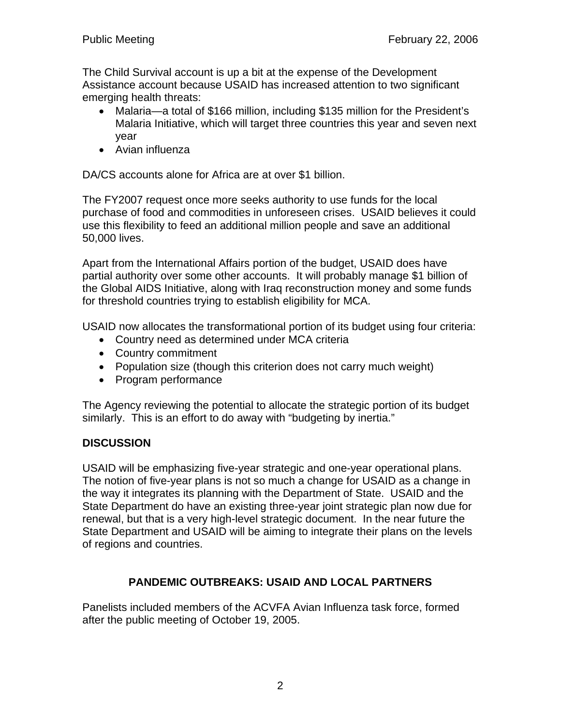The Child Survival account is up a bit at the expense of the Development Assistance account because USAID has increased attention to two significant emerging health threats:

- Malaria—a total of \$166 million, including \$135 million for the President's Malaria Initiative, which will target three countries this year and seven next year
- Avian influenza

DA/CS accounts alone for Africa are at over \$1 billion.

The FY2007 request once more seeks authority to use funds for the local purchase of food and commodities in unforeseen crises. USAID believes it could use this flexibility to feed an additional million people and save an additional 50,000 lives.

Apart from the International Affairs portion of the budget, USAID does have partial authority over some other accounts. It will probably manage \$1 billion of the Global AIDS Initiative, along with Iraq reconstruction money and some funds for threshold countries trying to establish eligibility for MCA.

USAID now allocates the transformational portion of its budget using four criteria:

- Country need as determined under MCA criteria
- Country commitment
- Population size (though this criterion does not carry much weight)
- Program performance

The Agency reviewing the potential to allocate the strategic portion of its budget similarly. This is an effort to do away with "budgeting by inertia."

#### **DISCUSSION**

USAID will be emphasizing five-year strategic and one-year operational plans. The notion of five-year plans is not so much a change for USAID as a change in the way it integrates its planning with the Department of State. USAID and the State Department do have an existing three-year joint strategic plan now due for renewal, but that is a very high-level strategic document. In the near future the State Department and USAID will be aiming to integrate their plans on the levels of regions and countries.

### **PANDEMIC OUTBREAKS: USAID AND LOCAL PARTNERS**

Panelists included members of the ACVFA Avian Influenza task force, formed after the public meeting of October 19, 2005.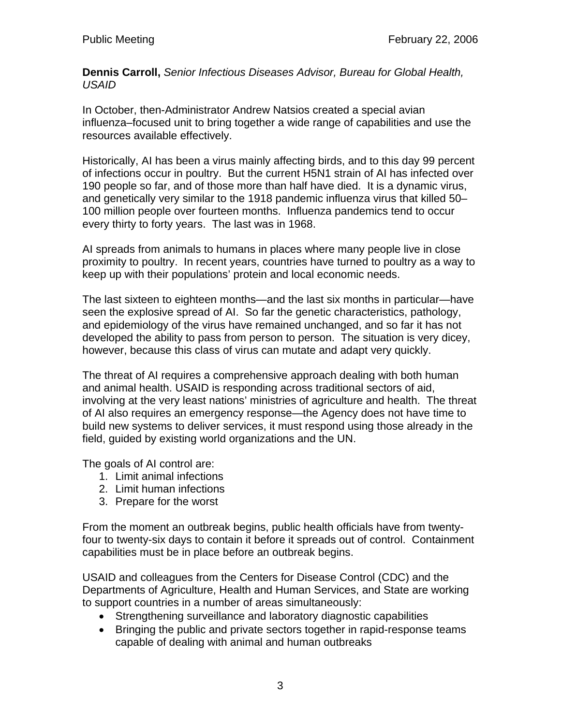**Dennis Carroll,** *Senior Infectious Diseases Advisor, Bureau for Global Health, USAID* 

In October, then-Administrator Andrew Natsios created a special avian influenza–focused unit to bring together a wide range of capabilities and use the resources available effectively.

Historically, AI has been a virus mainly affecting birds, and to this day 99 percent of infections occur in poultry. But the current H5N1 strain of AI has infected over 190 people so far, and of those more than half have died. It is a dynamic virus, and genetically very similar to the 1918 pandemic influenza virus that killed 50– 100 million people over fourteen months. Influenza pandemics tend to occur every thirty to forty years. The last was in 1968.

AI spreads from animals to humans in places where many people live in close proximity to poultry. In recent years, countries have turned to poultry as a way to keep up with their populations' protein and local economic needs.

The last sixteen to eighteen months—and the last six months in particular—have seen the explosive spread of AI. So far the genetic characteristics, pathology, and epidemiology of the virus have remained unchanged, and so far it has not developed the ability to pass from person to person. The situation is very dicey, however, because this class of virus can mutate and adapt very quickly.

The threat of AI requires a comprehensive approach dealing with both human and animal health. USAID is responding across traditional sectors of aid, involving at the very least nations' ministries of agriculture and health. The threat of AI also requires an emergency response—the Agency does not have time to build new systems to deliver services, it must respond using those already in the field, guided by existing world organizations and the UN.

The goals of AI control are:

- 1. Limit animal infections
- 2. Limit human infections
- 3. Prepare for the worst

From the moment an outbreak begins, public health officials have from twentyfour to twenty-six days to contain it before it spreads out of control. Containment capabilities must be in place before an outbreak begins.

USAID and colleagues from the Centers for Disease Control (CDC) and the Departments of Agriculture, Health and Human Services, and State are working to support countries in a number of areas simultaneously:

- Strengthening surveillance and laboratory diagnostic capabilities
- Bringing the public and private sectors together in rapid-response teams capable of dealing with animal and human outbreaks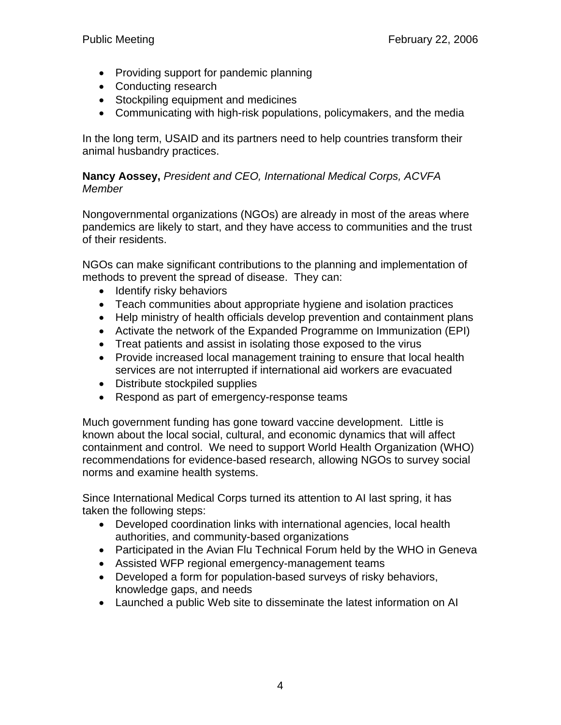- Providing support for pandemic planning
- Conducting research
- Stockpiling equipment and medicines
- Communicating with high-risk populations, policymakers, and the media

In the long term, USAID and its partners need to help countries transform their animal husbandry practices.

### **Nancy Aossey,** *President and CEO, International Medical Corps, ACVFA Member*

Nongovernmental organizations (NGOs) are already in most of the areas where pandemics are likely to start, and they have access to communities and the trust of their residents.

NGOs can make significant contributions to the planning and implementation of methods to prevent the spread of disease. They can:

- Identify risky behaviors
- Teach communities about appropriate hygiene and isolation practices
- Help ministry of health officials develop prevention and containment plans
- Activate the network of the Expanded Programme on Immunization (EPI)
- Treat patients and assist in isolating those exposed to the virus
- Provide increased local management training to ensure that local health services are not interrupted if international aid workers are evacuated
- Distribute stockpiled supplies
- Respond as part of emergency-response teams

Much government funding has gone toward vaccine development. Little is known about the local social, cultural, and economic dynamics that will affect containment and control. We need to support World Health Organization (WHO) recommendations for evidence-based research, allowing NGOs to survey social norms and examine health systems.

Since International Medical Corps turned its attention to AI last spring, it has taken the following steps:

- Developed coordination links with international agencies, local health authorities, and community-based organizations
- Participated in the Avian Flu Technical Forum held by the WHO in Geneva
- Assisted WFP regional emergency-management teams
- Developed a form for population-based surveys of risky behaviors, knowledge gaps, and needs
- Launched a public Web site to disseminate the latest information on AI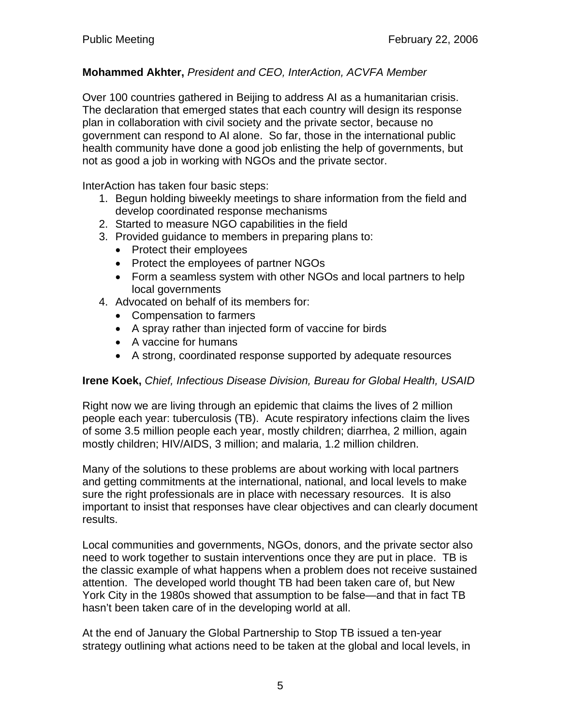### **Mohammed Akhter,** *President and CEO, InterAction, ACVFA Member*

Over 100 countries gathered in Beijing to address AI as a humanitarian crisis. The declaration that emerged states that each country will design its response plan in collaboration with civil society and the private sector, because no government can respond to AI alone. So far, those in the international public health community have done a good job enlisting the help of governments, but not as good a job in working with NGOs and the private sector.

InterAction has taken four basic steps:

- 1. Begun holding biweekly meetings to share information from the field and develop coordinated response mechanisms
- 2. Started to measure NGO capabilities in the field
- 3. Provided guidance to members in preparing plans to:
	- Protect their employees
	- Protect the employees of partner NGOs
	- Form a seamless system with other NGOs and local partners to help local governments
- 4. Advocated on behalf of its members for:
	- Compensation to farmers
	- A spray rather than injected form of vaccine for birds
	- A vaccine for humans
	- A strong, coordinated response supported by adequate resources

### **Irene Koek,** *Chief, Infectious Disease Division, Bureau for Global Health, USAID*

Right now we are living through an epidemic that claims the lives of 2 million people each year: tuberculosis (TB). Acute respiratory infections claim the lives of some 3.5 million people each year, mostly children; diarrhea, 2 million, again mostly children; HIV/AIDS, 3 million; and malaria, 1.2 million children.

Many of the solutions to these problems are about working with local partners and getting commitments at the international, national, and local levels to make sure the right professionals are in place with necessary resources. It is also important to insist that responses have clear objectives and can clearly document results.

Local communities and governments, NGOs, donors, and the private sector also need to work together to sustain interventions once they are put in place. TB is the classic example of what happens when a problem does not receive sustained attention. The developed world thought TB had been taken care of, but New York City in the 1980s showed that assumption to be false—and that in fact TB hasn't been taken care of in the developing world at all.

At the end of January the Global Partnership to Stop TB issued a ten-year strategy outlining what actions need to be taken at the global and local levels, in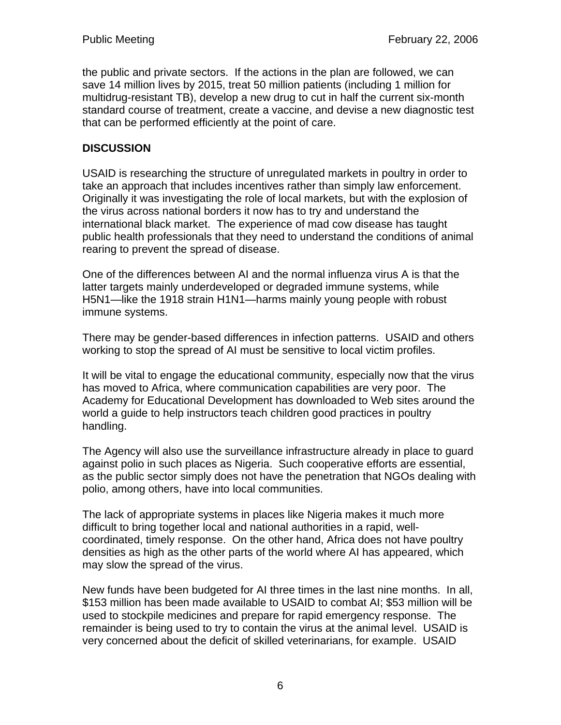the public and private sectors. If the actions in the plan are followed, we can save 14 million lives by 2015, treat 50 million patients (including 1 million for multidrug-resistant TB), develop a new drug to cut in half the current six-month standard course of treatment, create a vaccine, and devise a new diagnostic test that can be performed efficiently at the point of care.

### **DISCUSSION**

USAID is researching the structure of unregulated markets in poultry in order to take an approach that includes incentives rather than simply law enforcement. Originally it was investigating the role of local markets, but with the explosion of the virus across national borders it now has to try and understand the international black market. The experience of mad cow disease has taught public health professionals that they need to understand the conditions of animal rearing to prevent the spread of disease.

One of the differences between AI and the normal influenza virus A is that the latter targets mainly underdeveloped or degraded immune systems, while H5N1—like the 1918 strain H1N1—harms mainly young people with robust immune systems.

There may be gender-based differences in infection patterns. USAID and others working to stop the spread of AI must be sensitive to local victim profiles.

It will be vital to engage the educational community, especially now that the virus has moved to Africa, where communication capabilities are very poor. The Academy for Educational Development has downloaded to Web sites around the world a guide to help instructors teach children good practices in poultry handling.

The Agency will also use the surveillance infrastructure already in place to guard against polio in such places as Nigeria. Such cooperative efforts are essential, as the public sector simply does not have the penetration that NGOs dealing with polio, among others, have into local communities.

The lack of appropriate systems in places like Nigeria makes it much more difficult to bring together local and national authorities in a rapid, wellcoordinated, timely response. On the other hand, Africa does not have poultry densities as high as the other parts of the world where AI has appeared, which may slow the spread of the virus.

New funds have been budgeted for AI three times in the last nine months. In all, \$153 million has been made available to USAID to combat AI; \$53 million will be used to stockpile medicines and prepare for rapid emergency response. The remainder is being used to try to contain the virus at the animal level. USAID is very concerned about the deficit of skilled veterinarians, for example. USAID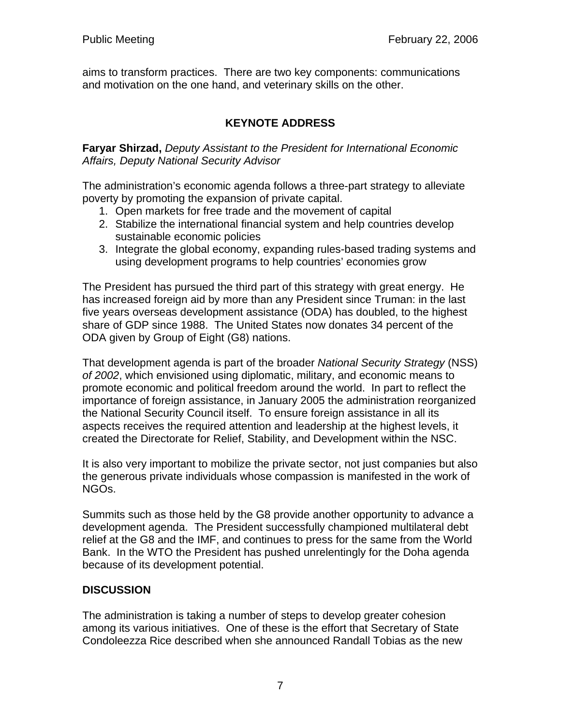aims to transform practices. There are two key components: communications and motivation on the one hand, and veterinary skills on the other.

# **KEYNOTE ADDRESS**

**Faryar Shirzad,** *Deputy Assistant to the President for International Economic Affairs, Deputy National Security Advisor* 

The administration's economic agenda follows a three-part strategy to alleviate poverty by promoting the expansion of private capital.

- 1. Open markets for free trade and the movement of capital
- 2. Stabilize the international financial system and help countries develop sustainable economic policies
- 3. Integrate the global economy, expanding rules-based trading systems and using development programs to help countries' economies grow

The President has pursued the third part of this strategy with great energy. He has increased foreign aid by more than any President since Truman: in the last five years overseas development assistance (ODA) has doubled, to the highest share of GDP since 1988. The United States now donates 34 percent of the ODA given by Group of Eight (G8) nations.

That development agenda is part of the broader *National Security Strategy* (NSS) *of 2002*, which envisioned using diplomatic, military, and economic means to promote economic and political freedom around the world. In part to reflect the importance of foreign assistance, in January 2005 the administration reorganized the National Security Council itself. To ensure foreign assistance in all its aspects receives the required attention and leadership at the highest levels, it created the Directorate for Relief, Stability, and Development within the NSC.

It is also very important to mobilize the private sector, not just companies but also the generous private individuals whose compassion is manifested in the work of NGOs.

Summits such as those held by the G8 provide another opportunity to advance a development agenda. The President successfully championed multilateral debt relief at the G8 and the IMF, and continues to press for the same from the World Bank. In the WTO the President has pushed unrelentingly for the Doha agenda because of its development potential.

### **DISCUSSION**

The administration is taking a number of steps to develop greater cohesion among its various initiatives. One of these is the effort that Secretary of State Condoleezza Rice described when she announced Randall Tobias as the new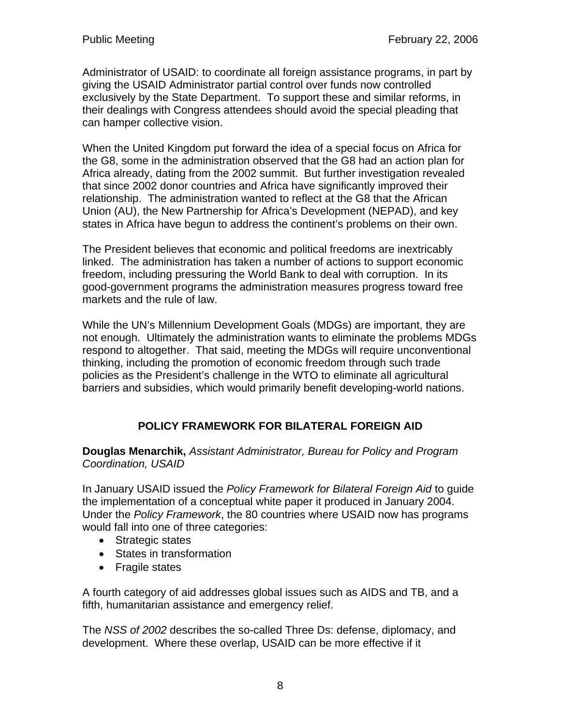Administrator of USAID: to coordinate all foreign assistance programs, in part by giving the USAID Administrator partial control over funds now controlled exclusively by the State Department. To support these and similar reforms, in their dealings with Congress attendees should avoid the special pleading that can hamper collective vision.

When the United Kingdom put forward the idea of a special focus on Africa for the G8, some in the administration observed that the G8 had an action plan for Africa already, dating from the 2002 summit. But further investigation revealed that since 2002 donor countries and Africa have significantly improved their relationship. The administration wanted to reflect at the G8 that the African Union (AU), the New Partnership for Africa's Development (NEPAD), and key states in Africa have begun to address the continent's problems on their own.

The President believes that economic and political freedoms are inextricably linked. The administration has taken a number of actions to support economic freedom, including pressuring the World Bank to deal with corruption. In its good-government programs the administration measures progress toward free markets and the rule of law.

While the UN's Millennium Development Goals (MDGs) are important, they are not enough. Ultimately the administration wants to eliminate the problems MDGs respond to altogether. That said, meeting the MDGs will require unconventional thinking, including the promotion of economic freedom through such trade policies as the President's challenge in the WTO to eliminate all agricultural barriers and subsidies, which would primarily benefit developing-world nations.

# **POLICY FRAMEWORK FOR BILATERAL FOREIGN AID**

**Douglas Menarchik,** *Assistant Administrator, Bureau for Policy and Program Coordination, USAID* 

In January USAID issued the *Policy Framework for Bilateral Foreign Aid* to guide the implementation of a conceptual white paper it produced in January 2004. Under the *Policy Framework*, the 80 countries where USAID now has programs would fall into one of three categories:

- Strategic states
- States in transformation
- Fragile states

A fourth category of aid addresses global issues such as AIDS and TB, and a fifth, humanitarian assistance and emergency relief.

The *NSS of 2002* describes the so-called Three Ds: defense, diplomacy, and development. Where these overlap, USAID can be more effective if it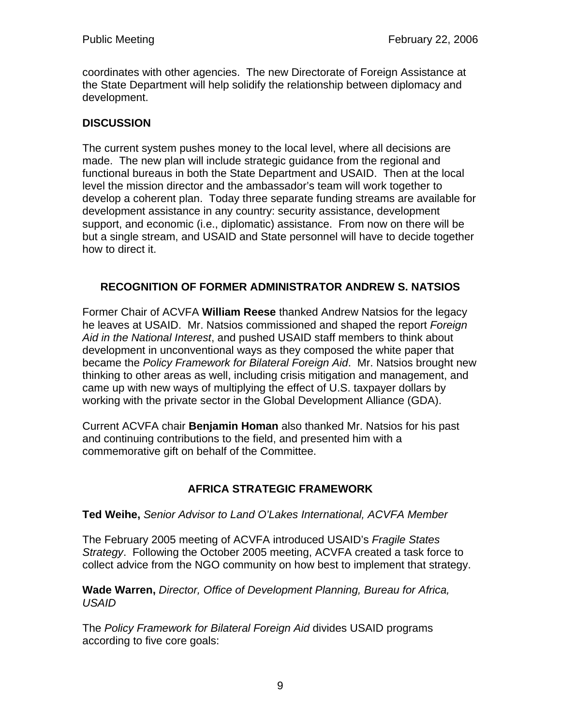coordinates with other agencies. The new Directorate of Foreign Assistance at the State Department will help solidify the relationship between diplomacy and development.

### **DISCUSSION**

The current system pushes money to the local level, where all decisions are made. The new plan will include strategic guidance from the regional and functional bureaus in both the State Department and USAID. Then at the local level the mission director and the ambassador's team will work together to develop a coherent plan. Today three separate funding streams are available for development assistance in any country: security assistance, development support, and economic (i.e., diplomatic) assistance. From now on there will be but a single stream, and USAID and State personnel will have to decide together how to direct it.

### **RECOGNITION OF FORMER ADMINISTRATOR ANDREW S. NATSIOS**

Former Chair of ACVFA **William Reese** thanked Andrew Natsios for the legacy he leaves at USAID. Mr. Natsios commissioned and shaped the report *Foreign Aid in the National Interest*, and pushed USAID staff members to think about development in unconventional ways as they composed the white paper that became the *Policy Framework for Bilateral Foreign Aid*. Mr. Natsios brought new thinking to other areas as well, including crisis mitigation and management, and came up with new ways of multiplying the effect of U.S. taxpayer dollars by working with the private sector in the Global Development Alliance (GDA).

Current ACVFA chair **Benjamin Homan** also thanked Mr. Natsios for his past and continuing contributions to the field, and presented him with a commemorative gift on behalf of the Committee.

# **AFRICA STRATEGIC FRAMEWORK**

### **Ted Weihe,** *Senior Advisor to Land O'Lakes International, ACVFA Member*

The February 2005 meeting of ACVFA introduced USAID's *Fragile States Strategy*. Following the October 2005 meeting, ACVFA created a task force to collect advice from the NGO community on how best to implement that strategy.

**Wade Warren,** *Director, Office of Development Planning, Bureau for Africa, USAID* 

The *Policy Framework for Bilateral Foreign Aid* divides USAID programs according to five core goals: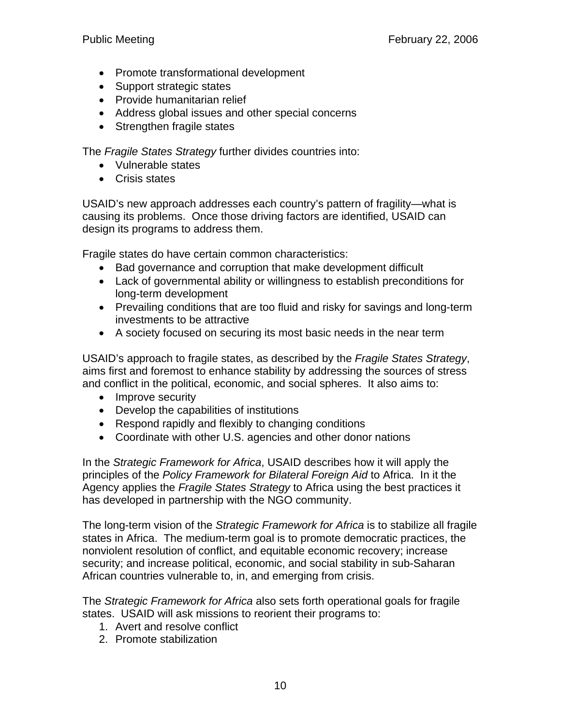- Promote transformational development
- Support strategic states
- Provide humanitarian relief
- Address global issues and other special concerns
- Strengthen fragile states

The *Fragile States Strategy* further divides countries into:

- Vulnerable states
- Crisis states

USAID's new approach addresses each country's pattern of fragility—what is causing its problems. Once those driving factors are identified, USAID can design its programs to address them.

Fragile states do have certain common characteristics:

- Bad governance and corruption that make development difficult
- Lack of governmental ability or willingness to establish preconditions for long-term development
- Prevailing conditions that are too fluid and risky for savings and long-term investments to be attractive
- A society focused on securing its most basic needs in the near term

USAID's approach to fragile states, as described by the *Fragile States Strategy*, aims first and foremost to enhance stability by addressing the sources of stress and conflict in the political, economic, and social spheres. It also aims to:

- Improve security
- Develop the capabilities of institutions
- Respond rapidly and flexibly to changing conditions
- Coordinate with other U.S. agencies and other donor nations

In the *Strategic Framework for Africa*, USAID describes how it will apply the principles of the *Policy Framework for Bilateral Foreign Aid* to Africa. In it the Agency applies the *Fragile States Strategy* to Africa using the best practices it has developed in partnership with the NGO community.

The long-term vision of the *Strategic Framework for Africa* is to stabilize all fragile states in Africa. The medium-term goal is to promote democratic practices, the nonviolent resolution of conflict, and equitable economic recovery; increase security; and increase political, economic, and social stability in sub-Saharan African countries vulnerable to, in, and emerging from crisis.

The *Strategic Framework for Africa* also sets forth operational goals for fragile states. USAID will ask missions to reorient their programs to:

- 1. Avert and resolve conflict
- 2. Promote stabilization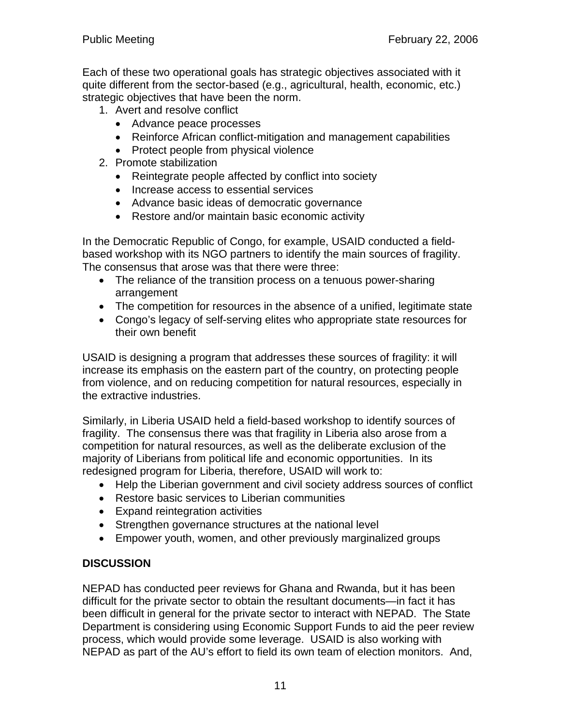Each of these two operational goals has strategic objectives associated with it quite different from the sector-based (e.g., agricultural, health, economic, etc.) strategic objectives that have been the norm.

- 1. Avert and resolve conflict
	- Advance peace processes
	- Reinforce African conflict-mitigation and management capabilities
	- Protect people from physical violence
- 2. Promote stabilization
	- Reintegrate people affected by conflict into society
	- Increase access to essential services
	- Advance basic ideas of democratic governance
	- Restore and/or maintain basic economic activity

In the Democratic Republic of Congo, for example, USAID conducted a fieldbased workshop with its NGO partners to identify the main sources of fragility. The consensus that arose was that there were three:

- The reliance of the transition process on a tenuous power-sharing arrangement
- The competition for resources in the absence of a unified, legitimate state
- Congo's legacy of self-serving elites who appropriate state resources for their own benefit

USAID is designing a program that addresses these sources of fragility: it will increase its emphasis on the eastern part of the country, on protecting people from violence, and on reducing competition for natural resources, especially in the extractive industries.

Similarly, in Liberia USAID held a field-based workshop to identify sources of fragility. The consensus there was that fragility in Liberia also arose from a competition for natural resources, as well as the deliberate exclusion of the majority of Liberians from political life and economic opportunities. In its redesigned program for Liberia, therefore, USAID will work to:

- Help the Liberian government and civil society address sources of conflict
- Restore basic services to Liberian communities
- Expand reintegration activities
- Strengthen governance structures at the national level
- Empower youth, women, and other previously marginalized groups

### **DISCUSSION**

NEPAD has conducted peer reviews for Ghana and Rwanda, but it has been difficult for the private sector to obtain the resultant documents—in fact it has been difficult in general for the private sector to interact with NEPAD. The State Department is considering using Economic Support Funds to aid the peer review process, which would provide some leverage. USAID is also working with NEPAD as part of the AU's effort to field its own team of election monitors. And,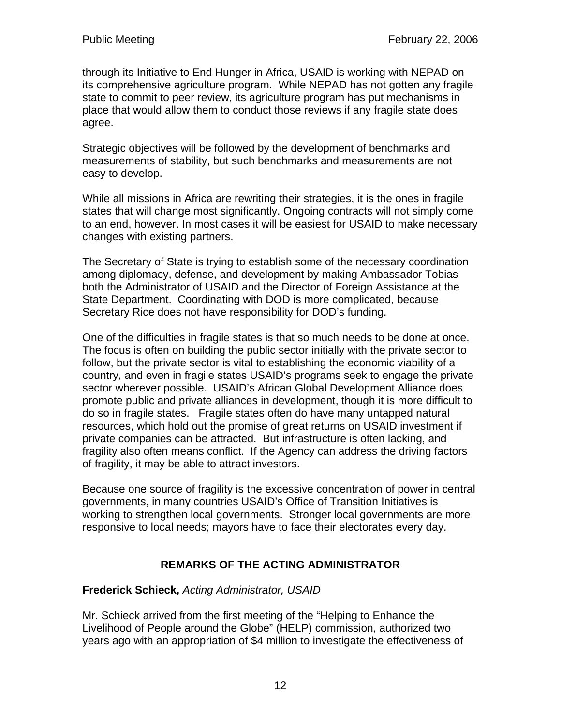through its Initiative to End Hunger in Africa, USAID is working with NEPAD on its comprehensive agriculture program. While NEPAD has not gotten any fragile state to commit to peer review, its agriculture program has put mechanisms in place that would allow them to conduct those reviews if any fragile state does agree.

Strategic objectives will be followed by the development of benchmarks and measurements of stability, but such benchmarks and measurements are not easy to develop.

While all missions in Africa are rewriting their strategies, it is the ones in fragile states that will change most significantly. Ongoing contracts will not simply come to an end, however. In most cases it will be easiest for USAID to make necessary changes with existing partners.

The Secretary of State is trying to establish some of the necessary coordination among diplomacy, defense, and development by making Ambassador Tobias both the Administrator of USAID and the Director of Foreign Assistance at the State Department. Coordinating with DOD is more complicated, because Secretary Rice does not have responsibility for DOD's funding.

One of the difficulties in fragile states is that so much needs to be done at once. The focus is often on building the public sector initially with the private sector to follow, but the private sector is vital to establishing the economic viability of a country, and even in fragile states USAID's programs seek to engage the private sector wherever possible. USAID's African Global Development Alliance does promote public and private alliances in development, though it is more difficult to do so in fragile states. Fragile states often do have many untapped natural resources, which hold out the promise of great returns on USAID investment if private companies can be attracted. But infrastructure is often lacking, and fragility also often means conflict. If the Agency can address the driving factors of fragility, it may be able to attract investors.

Because one source of fragility is the excessive concentration of power in central governments, in many countries USAID's Office of Transition Initiatives is working to strengthen local governments. Stronger local governments are more responsive to local needs; mayors have to face their electorates every day.

# **REMARKS OF THE ACTING ADMINISTRATOR**

### **Frederick Schieck,** *Acting Administrator, USAID*

Mr. Schieck arrived from the first meeting of the "Helping to Enhance the Livelihood of People around the Globe" (HELP) commission, authorized two years ago with an appropriation of \$4 million to investigate the effectiveness of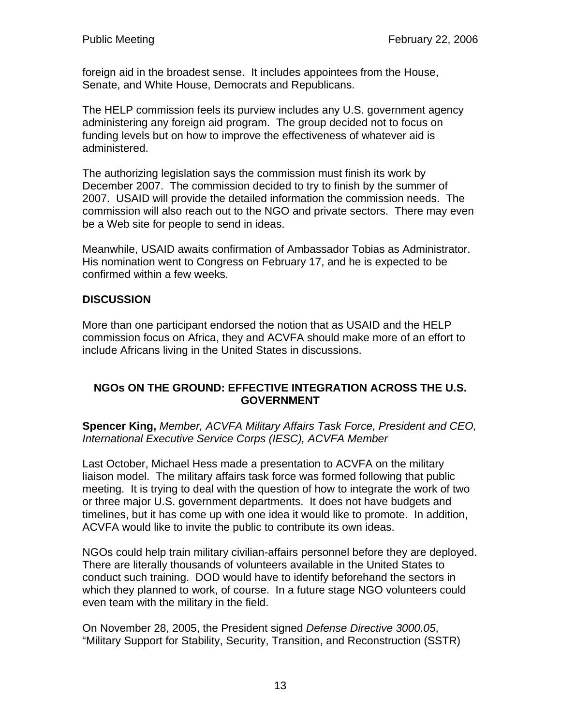foreign aid in the broadest sense. It includes appointees from the House, Senate, and White House, Democrats and Republicans.

The HELP commission feels its purview includes any U.S. government agency administering any foreign aid program. The group decided not to focus on funding levels but on how to improve the effectiveness of whatever aid is administered.

The authorizing legislation says the commission must finish its work by December 2007. The commission decided to try to finish by the summer of 2007. USAID will provide the detailed information the commission needs. The commission will also reach out to the NGO and private sectors. There may even be a Web site for people to send in ideas.

Meanwhile, USAID awaits confirmation of Ambassador Tobias as Administrator. His nomination went to Congress on February 17, and he is expected to be confirmed within a few weeks.

### **DISCUSSION**

More than one participant endorsed the notion that as USAID and the HELP commission focus on Africa, they and ACVFA should make more of an effort to include Africans living in the United States in discussions.

#### **NGOs ON THE GROUND: EFFECTIVE INTEGRATION ACROSS THE U.S. GOVERNMENT**

**Spencer King,** *Member, ACVFA Military Affairs Task Force, President and CEO, International Executive Service Corps (IESC), ACVFA Member*

Last October, Michael Hess made a presentation to ACVFA on the military liaison model. The military affairs task force was formed following that public meeting. It is trying to deal with the question of how to integrate the work of two or three major U.S. government departments. It does not have budgets and timelines, but it has come up with one idea it would like to promote. In addition, ACVFA would like to invite the public to contribute its own ideas.

NGOs could help train military civilian-affairs personnel before they are deployed. There are literally thousands of volunteers available in the United States to conduct such training. DOD would have to identify beforehand the sectors in which they planned to work, of course. In a future stage NGO volunteers could even team with the military in the field.

On November 28, 2005, the President signed *Defense Directive 3000.05*, "Military Support for Stability, Security, Transition, and Reconstruction (SSTR)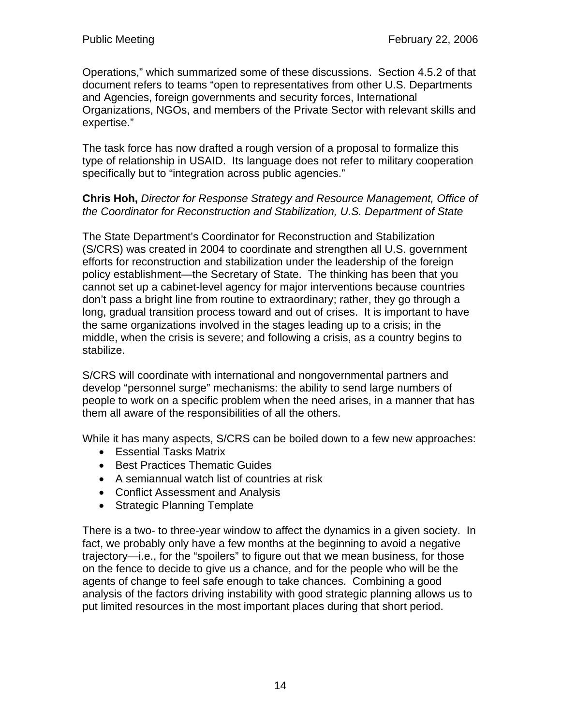Operations," which summarized some of these discussions. Section 4.5.2 of that document refers to teams "open to representatives from other U.S. Departments and Agencies, foreign governments and security forces, International Organizations, NGOs, and members of the Private Sector with relevant skills and expertise."

The task force has now drafted a rough version of a proposal to formalize this type of relationship in USAID. Its language does not refer to military cooperation specifically but to "integration across public agencies."

#### **Chris Hoh,** *Director for Response Strategy and Resource Management, Office of the Coordinator for Reconstruction and Stabilization, U.S. Department of State*

The State Department's Coordinator for Reconstruction and Stabilization (S/CRS) was created in 2004 to coordinate and strengthen all U.S. government efforts for reconstruction and stabilization under the leadership of the foreign policy establishment—the Secretary of State. The thinking has been that you cannot set up a cabinet-level agency for major interventions because countries don't pass a bright line from routine to extraordinary; rather, they go through a long, gradual transition process toward and out of crises. It is important to have the same organizations involved in the stages leading up to a crisis; in the middle, when the crisis is severe; and following a crisis, as a country begins to stabilize.

S/CRS will coordinate with international and nongovernmental partners and develop "personnel surge" mechanisms: the ability to send large numbers of people to work on a specific problem when the need arises, in a manner that has them all aware of the responsibilities of all the others.

While it has many aspects, S/CRS can be boiled down to a few new approaches:

- Essential Tasks Matrix
- Best Practices Thematic Guides
- A semiannual watch list of countries at risk
- Conflict Assessment and Analysis
- Strategic Planning Template

There is a two- to three-year window to affect the dynamics in a given society. In fact, we probably only have a few months at the beginning to avoid a negative trajectory—i.e., for the "spoilers" to figure out that we mean business, for those on the fence to decide to give us a chance, and for the people who will be the agents of change to feel safe enough to take chances. Combining a good analysis of the factors driving instability with good strategic planning allows us to put limited resources in the most important places during that short period.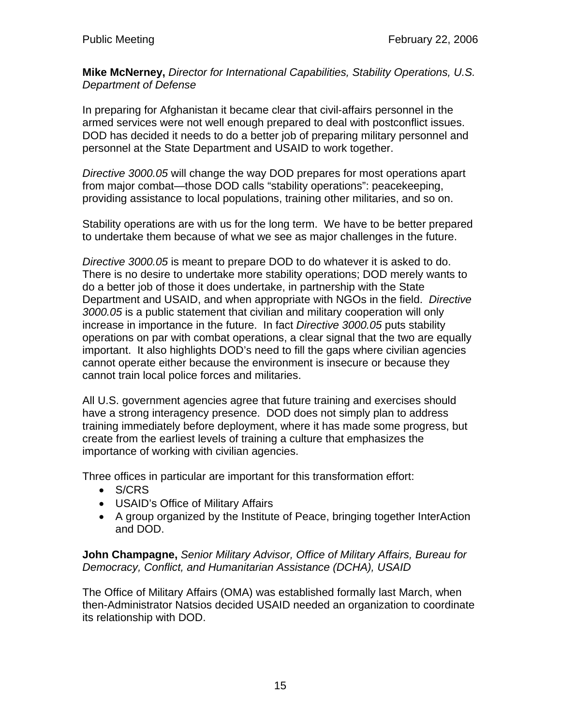**Mike McNerney,** *Director for International Capabilities, Stability Operations, U.S. Department of Defense* 

In preparing for Afghanistan it became clear that civil-affairs personnel in the armed services were not well enough prepared to deal with postconflict issues. DOD has decided it needs to do a better job of preparing military personnel and personnel at the State Department and USAID to work together.

*Directive 3000.05* will change the way DOD prepares for most operations apart from major combat—those DOD calls "stability operations": peacekeeping, providing assistance to local populations, training other militaries, and so on.

Stability operations are with us for the long term. We have to be better prepared to undertake them because of what we see as major challenges in the future.

*Directive 3000.05* is meant to prepare DOD to do whatever it is asked to do. There is no desire to undertake more stability operations; DOD merely wants to do a better job of those it does undertake, in partnership with the State Department and USAID, and when appropriate with NGOs in the field. *Directive 3000.05* is a public statement that civilian and military cooperation will only increase in importance in the future. In fact *Directive 3000.05* puts stability operations on par with combat operations, a clear signal that the two are equally important. It also highlights DOD's need to fill the gaps where civilian agencies cannot operate either because the environment is insecure or because they cannot train local police forces and militaries.

All U.S. government agencies agree that future training and exercises should have a strong interagency presence. DOD does not simply plan to address training immediately before deployment, where it has made some progress, but create from the earliest levels of training a culture that emphasizes the importance of working with civilian agencies.

Three offices in particular are important for this transformation effort:

- S/CRS
- USAID's Office of Military Affairs
- A group organized by the Institute of Peace, bringing together InterAction and DOD.

**John Champagne,** *Senior Military Advisor, Office of Military Affairs, Bureau for Democracy, Conflict, and Humanitarian Assistance (DCHA), USAID* 

The Office of Military Affairs (OMA) was established formally last March, when then-Administrator Natsios decided USAID needed an organization to coordinate its relationship with DOD.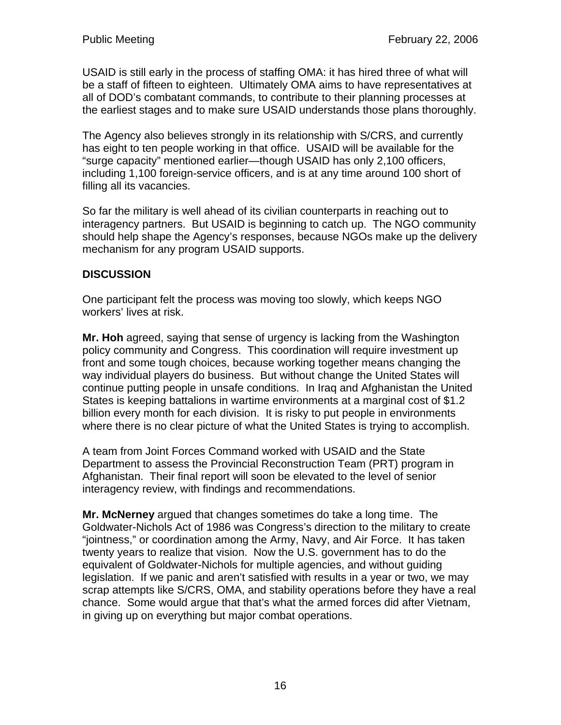USAID is still early in the process of staffing OMA: it has hired three of what will be a staff of fifteen to eighteen. Ultimately OMA aims to have representatives at all of DOD's combatant commands, to contribute to their planning processes at the earliest stages and to make sure USAID understands those plans thoroughly.

The Agency also believes strongly in its relationship with S/CRS, and currently has eight to ten people working in that office. USAID will be available for the "surge capacity" mentioned earlier—though USAID has only 2,100 officers, including 1,100 foreign-service officers, and is at any time around 100 short of filling all its vacancies.

So far the military is well ahead of its civilian counterparts in reaching out to interagency partners. But USAID is beginning to catch up. The NGO community should help shape the Agency's responses, because NGOs make up the delivery mechanism for any program USAID supports.

### **DISCUSSION**

One participant felt the process was moving too slowly, which keeps NGO workers' lives at risk.

**Mr. Hoh** agreed, saying that sense of urgency is lacking from the Washington policy community and Congress. This coordination will require investment up front and some tough choices, because working together means changing the way individual players do business. But without change the United States will continue putting people in unsafe conditions. In Iraq and Afghanistan the United States is keeping battalions in wartime environments at a marginal cost of \$1.2 billion every month for each division. It is risky to put people in environments where there is no clear picture of what the United States is trying to accomplish.

A team from Joint Forces Command worked with USAID and the State Department to assess the Provincial Reconstruction Team (PRT) program in Afghanistan. Their final report will soon be elevated to the level of senior interagency review, with findings and recommendations.

**Mr. McNerney** argued that changes sometimes do take a long time. The Goldwater-Nichols Act of 1986 was Congress's direction to the military to create "jointness," or coordination among the Army, Navy, and Air Force. It has taken twenty years to realize that vision. Now the U.S. government has to do the equivalent of Goldwater-Nichols for multiple agencies, and without guiding legislation. If we panic and aren't satisfied with results in a year or two, we may scrap attempts like S/CRS, OMA, and stability operations before they have a real chance. Some would argue that that's what the armed forces did after Vietnam, in giving up on everything but major combat operations.